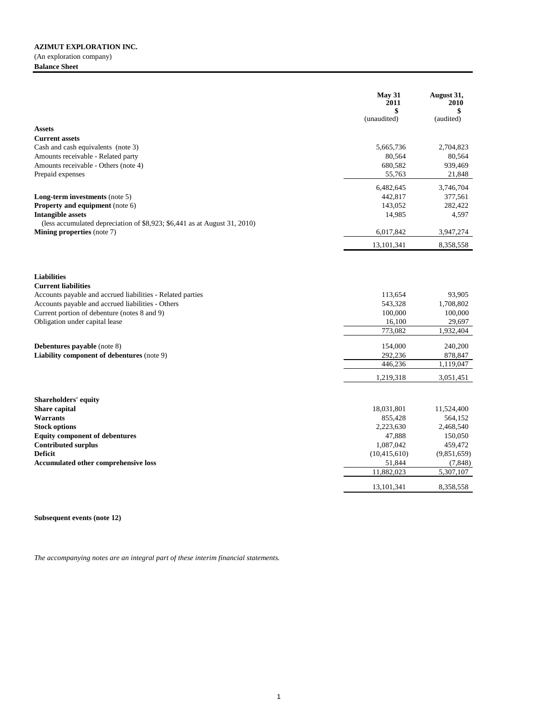(An exploration company) **Balance Sheet**

|                                                                           | May 31<br>2011<br>\$ | August 31,<br>2010<br>\$ |
|---------------------------------------------------------------------------|----------------------|--------------------------|
|                                                                           | (unaudited)          | (audited)                |
| <b>Assets</b>                                                             |                      |                          |
| <b>Current assets</b>                                                     |                      |                          |
| Cash and cash equivalents (note 3)                                        | 5,665,736            | 2,704,823                |
| Amounts receivable - Related party                                        | 80,564               | 80,564                   |
| Amounts receivable - Others (note 4)                                      | 680,582              | 939,469                  |
| Prepaid expenses                                                          | 55,763               | 21,848                   |
|                                                                           | 6,482,645            | 3,746,704                |
| Long-term investments (note 5)                                            | 442,817              | 377,561                  |
| Property and equipment (note 6)                                           | 143,052              | 282,422                  |
| <b>Intangible assets</b>                                                  | 14,985               | 4,597                    |
| (less accumulated depreciation of \$8,923; \$6,441 as at August 31, 2010) |                      |                          |
| Mining properties (note 7)                                                | 6,017,842            | 3,947,274                |
|                                                                           | 13, 101, 341         | 8,358,558                |
| <b>Liabilities</b><br><b>Current liabilities</b>                          |                      |                          |
| Accounts payable and accrued liabilities - Related parties                | 113,654              | 93.905                   |
| Accounts payable and accrued liabilities - Others                         | 543,328              | 1,708,802                |
| Current portion of debenture (notes 8 and 9)                              | 100,000              | 100,000                  |
| Obligation under capital lease                                            | 16,100               | 29,697                   |
|                                                                           | 773.082              | 1,932,404                |
| Debentures payable (note 8)                                               | 154,000              | 240,200                  |
| Liability component of debentures (note 9)                                | 292,236              | 878,847                  |
|                                                                           | 446,236              | 1,119,047                |
|                                                                           | 1,219,318            | 3,051,451                |
| Shareholders' equity                                                      |                      |                          |
| <b>Share capital</b>                                                      | 18,031,801           | 11,524,400               |
| <b>Warrants</b>                                                           | 855,428              | 564,152                  |
| <b>Stock options</b>                                                      | 2,223,630            | 2,468,540                |
| <b>Equity component of debentures</b>                                     | 47,888               | 150,050                  |
| <b>Contributed surplus</b>                                                | 1,087,042            | 459,472                  |
| <b>Deficit</b>                                                            | (10, 415, 610)       | (9,851,659)              |
| <b>Accumulated other comprehensive loss</b>                               | 51,844               | (7, 848)                 |
|                                                                           | 11,882,023           | $\overline{5,307,107}$   |
|                                                                           | 13, 101, 341         | 8,358,558                |

**Subsequent events (note 12)**

*The accompanying notes are an integral part of these interim financial statements.*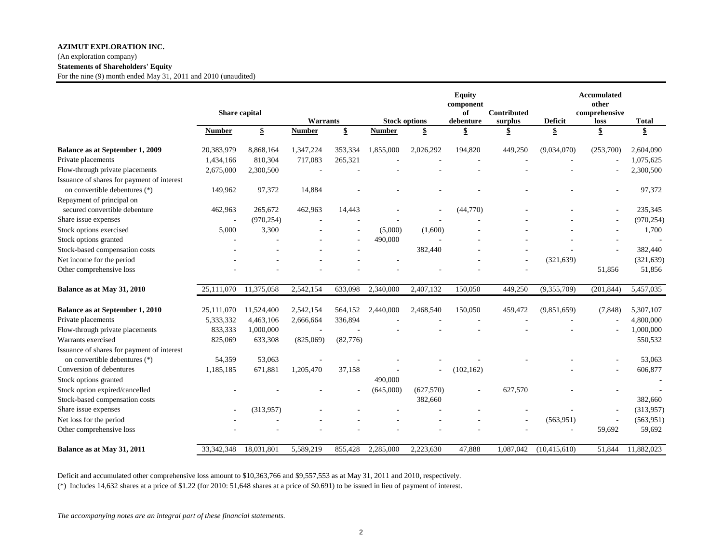## (An exploration company) **Statements of Shareholders' Equity**

For the nine (9) month ended May 31, 2011 and 2010 (unaudited)

|                                            |               | Share capital | <b>Warrants</b> |          | <b>Stock options</b> |           | <b>Equity</b><br>component<br>of<br>debenture | Contributed<br>surplus | <b>Deficit</b>          | Accumulated<br>other<br>comprehensive<br>loss | <b>Total</b>       |
|--------------------------------------------|---------------|---------------|-----------------|----------|----------------------|-----------|-----------------------------------------------|------------------------|-------------------------|-----------------------------------------------|--------------------|
|                                            | <b>Number</b> | \$            | <b>Number</b>   | \$       | <b>Number</b>        | \$        | \$                                            | \$                     | $\overline{\mathbf{E}}$ | \$                                            | $\pmb{\mathbb{S}}$ |
|                                            |               |               |                 |          |                      |           |                                               |                        |                         |                                               |                    |
| Balance as at September 1, 2009            | 20,383,979    | 8,868,164     | 1,347,224       | 353,334  | 1,855,000            | 2,026,292 | 194,820                                       | 449,250                | (9,034,070)             | (253,700)                                     | 2,604,090          |
| Private placements                         | 1,434,166     | 810,304       | 717,083         | 265,321  |                      |           |                                               |                        |                         |                                               | 1,075,625          |
| Flow-through private placements            | 2,675,000     | 2,300,500     |                 |          |                      |           |                                               |                        |                         |                                               | 2,300,500          |
| Issuance of shares for payment of interest |               |               |                 |          |                      |           |                                               |                        |                         |                                               |                    |
| on convertible debentures (*)              | 149,962       | 97,372        | 14,884          |          |                      |           |                                               |                        |                         |                                               | 97,372             |
| Repayment of principal on                  |               |               |                 |          |                      |           |                                               |                        |                         |                                               |                    |
| secured convertible debenture              | 462,963       | 265,672       | 462,963         | 14,443   |                      |           | (44,770)                                      |                        |                         |                                               | 235,345            |
| Share issue expenses                       |               | (970, 254)    |                 |          |                      |           |                                               |                        |                         |                                               | (970, 254)         |
| Stock options exercised                    | 5,000         | 3,300         |                 |          | (5,000)              | (1,600)   |                                               |                        |                         |                                               | 1,700              |
| Stock options granted                      |               |               |                 |          | 490,000              |           |                                               |                        |                         |                                               |                    |
| Stock-based compensation costs             |               |               |                 |          |                      | 382,440   |                                               |                        |                         |                                               | 382,440            |
| Net income for the period                  |               |               |                 |          |                      |           |                                               |                        | (321, 639)              |                                               | (321, 639)         |
| Other comprehensive loss                   |               |               |                 |          |                      |           |                                               |                        |                         | 51,856                                        | 51,856             |
| Balance as at May 31, 2010                 | 25,111,070    | 11,375,058    | 2,542,154       | 633,098  | 2,340,000            | 2,407,132 | 150,050                                       | 449,250                | (9,355,709)             | (201, 844)                                    | 5,457,035          |
| Balance as at September 1, 2010            | 25,111,070    | 11,524,400    | 2,542,154       | 564,152  | 2,440,000            | 2,468,540 | 150,050                                       | 459,472                | (9,851,659)             | (7,848)                                       | 5,307,107          |
| Private placements                         | 5,333,332     | 4,463,106     | 2,666,664       | 336,894  |                      |           |                                               |                        |                         |                                               | 4,800,000          |
| Flow-through private placements            | 833,333       | 1,000,000     |                 |          |                      |           |                                               |                        |                         |                                               | 1,000,000          |
| Warrants exercised                         | 825,069       | 633,308       | (825,069)       | (82,776) |                      |           |                                               |                        |                         |                                               | 550,532            |
| Issuance of shares for payment of interest |               |               |                 |          |                      |           |                                               |                        |                         |                                               |                    |
| on convertible debentures (*)              | 54,359        | 53,063        |                 |          |                      |           |                                               |                        |                         |                                               | 53,063             |
| Conversion of debentures                   | 1,185,185     | 671,881       | 1,205,470       | 37,158   |                      |           | (102, 162)                                    |                        |                         |                                               | 606,877            |
| Stock options granted                      |               |               |                 |          | 490,000              |           |                                               |                        |                         |                                               |                    |
| Stock option expired/cancelled             |               |               |                 |          | (645,000)            | (627,570) |                                               | 627,570                |                         |                                               |                    |
| Stock-based compensation costs             |               |               |                 |          |                      | 382,660   |                                               |                        |                         |                                               | 382,660            |
| Share issue expenses                       |               | (313,957)     |                 |          |                      |           |                                               |                        |                         |                                               | (313,957)          |
| Net loss for the period                    |               |               |                 |          |                      |           |                                               |                        | (563, 951)              |                                               | (563, 951)         |
| Other comprehensive loss                   |               |               |                 |          |                      |           |                                               |                        |                         | 59,692                                        | 59,692             |
| Balance as at May 31, 2011                 | 33, 342, 348  | 18,031,801    | 5,589,219       | 855,428  | 2,285,000            | 2,223,630 | 47,888                                        | 1,087,042              | (10, 415, 610)          | 51,844                                        | 11,882,023         |

Deficit and accumulated other comprehensive loss amount to \$10,363,766 and \$9,557,553 as at May 31, 2011 and 2010, respectively.

(\*) Includes 14,632 shares at a price of \$1.22 (for 2010: 51,648 shares at a price of \$0.691) to be issued in lieu of payment of interest.

*The accompanying notes are an integral part of these financial statements.*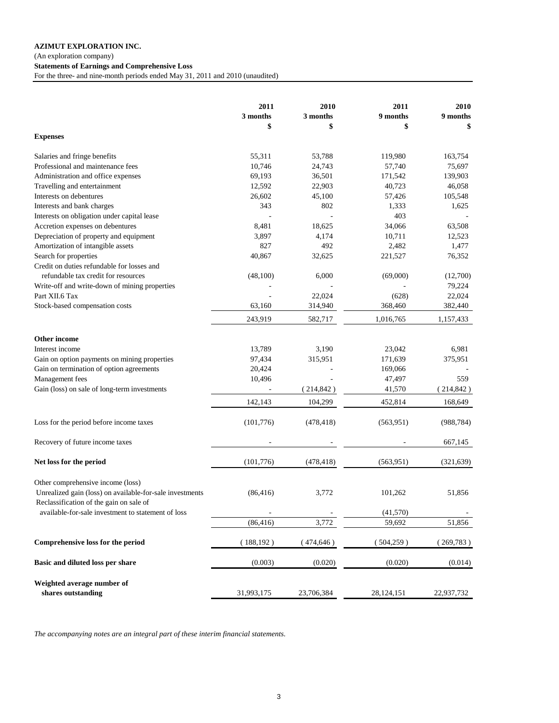(An exploration company)

**Statements of Earnings and Comprehensive Loss**

For the three- and nine-month periods ended May 31, 2011 and 2010 (unaudited)

|                                                                                               | 2011<br>3 months | 2010<br>3 months | 2011<br>9 months | 2010<br>9 months |
|-----------------------------------------------------------------------------------------------|------------------|------------------|------------------|------------------|
| <b>Expenses</b>                                                                               | \$               | \$               | \$               | \$               |
| Salaries and fringe benefits                                                                  | 55,311           | 53,788           | 119,980          | 163,754          |
| Professional and maintenance fees                                                             | 10,746           | 24,743           | 57,740           | 75,697           |
| Administration and office expenses                                                            | 69,193           | 36,501           | 171,542          | 139,903          |
| Travelling and entertainment                                                                  | 12,592           | 22,903           | 40,723           | 46,058           |
| Interests on debentures                                                                       | 26,602           | 45,100           | 57,426           | 105,548          |
| Interests and bank charges                                                                    | 343              | 802              | 1,333            | 1,625            |
| Interests on obligation under capital lease                                                   |                  |                  | 403              |                  |
| Accretion expenses on debentures                                                              | 8,481            | 18,625           | 34,066           | 63,508           |
| Depreciation of property and equipment                                                        | 3,897            | 4,174            | 10,711           | 12,523           |
| Amortization of intangible assets                                                             | 827              | 492              | 2,482            | 1,477            |
| Search for properties                                                                         | 40,867           | 32,625           | 221,527          | 76,352           |
| Credit on duties refundable for losses and                                                    |                  |                  |                  |                  |
| refundable tax credit for resources                                                           | (48,100)         | 6,000            | (69,000)         | (12,700)         |
| Write-off and write-down of mining properties                                                 |                  |                  |                  | 79,224           |
| Part XII.6 Tax                                                                                |                  | 22,024           | (628)            | 22,024           |
| Stock-based compensation costs                                                                | 63,160           | 314,940          | 368,460          | 382,440          |
|                                                                                               | 243,919          | 582,717          | 1,016,765        | 1,157,433        |
| Other income                                                                                  |                  |                  |                  |                  |
| Interest income                                                                               | 13,789           | 3,190            | 23,042           | 6,981            |
| Gain on option payments on mining properties                                                  | 97,434           | 315,951          | 171,639          | 375,951          |
| Gain on termination of option agreements                                                      | 20,424           |                  | 169,066          |                  |
| Management fees                                                                               | 10,496           |                  | 47,497           | 559              |
| Gain (loss) on sale of long-term investments                                                  |                  | (214, 842)       | 41,570           | (214, 842)       |
|                                                                                               | 142,143          | 104,299          | 452,814          | 168,649          |
| Loss for the period before income taxes                                                       | (101,776)        | (478, 418)       | (563, 951)       | (988, 784)       |
| Recovery of future income taxes                                                               |                  |                  |                  | 667,145          |
| Net loss for the period                                                                       | (101,776)        | (478, 418)       | (563, 951)       | (321, 639)       |
|                                                                                               |                  |                  |                  |                  |
| Other comprehensive income (loss)<br>Unrealized gain (loss) on available-for-sale investments | (86, 416)        | 3,772            | 101,262          | 51,856           |
| Reclassification of the gain on sale of                                                       |                  |                  |                  |                  |
| available-for-sale investment to statement of loss                                            |                  |                  | (41,570)         |                  |
|                                                                                               | (86, 416)        | 3,772            | 59,692           | 51,856           |
| Comprehensive loss for the period                                                             | (188, 192)       | (474, 646)       | (504, 259)       | (269,783)        |
| Basic and diluted loss per share                                                              | (0.003)          | (0.020)          | (0.020)          | (0.014)          |
| Weighted average number of                                                                    |                  |                  |                  |                  |
| shares outstanding                                                                            | 31,993,175       | 23,706,384       | 28,124,151       | 22,937,732       |

*The accompanying notes are an integral part of these interim financial statements.*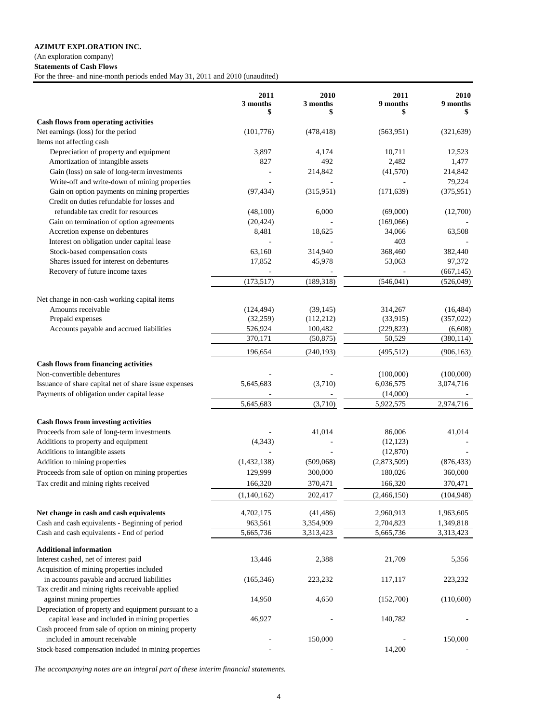(An exploration company)

**Statements of Cash Flows**

For the three- and nine-month periods ended May 31, 2011 and 2010 (unaudited)

|                                                                                            | 2011<br>3 months<br>\$ | 2010<br>3 months<br>\$ | 2011<br>9 months<br>\$ | 2010<br>9 months<br>S |
|--------------------------------------------------------------------------------------------|------------------------|------------------------|------------------------|-----------------------|
| Cash flows from operating activities                                                       |                        |                        |                        |                       |
| Net earnings (loss) for the period                                                         | (101,776)              | (478, 418)             | (563, 951)             | (321, 639)            |
| Items not affecting cash                                                                   |                        |                        |                        |                       |
| Depreciation of property and equipment                                                     | 3,897                  | 4,174                  | 10,711                 | 12,523                |
| Amortization of intangible assets                                                          | 827                    | 492                    | 2,482                  | 1,477                 |
| Gain (loss) on sale of long-term investments                                               |                        | 214,842                | (41,570)               | 214,842               |
| Write-off and write-down of mining properties                                              |                        |                        |                        | 79,224                |
| Gain on option payments on mining properties<br>Credit on duties refundable for losses and | (97, 434)              | (315,951)              | (171, 639)             | (375, 951)            |
| refundable tax credit for resources                                                        | (48,100)               | 6,000                  | (69,000)               | (12,700)              |
| Gain on termination of option agreements                                                   | (20, 424)              |                        | (169,066)              |                       |
| Accretion expense on debentures                                                            | 8,481                  | 18,625                 | 34,066                 | 63,508                |
| Interest on obligation under capital lease                                                 |                        |                        | 403                    |                       |
| Stock-based compensation costs                                                             | 63,160                 | 314,940                | 368,460                | 382,440               |
| Shares issued for interest on debentures                                                   | 17,852                 | 45,978                 | 53,063                 | 97,372                |
| Recovery of future income taxes                                                            |                        |                        |                        | (667, 145)            |
|                                                                                            | (173, 517)             | (189, 318)             | (546, 041)             | (526, 049)            |
| Net change in non-cash working capital items                                               |                        |                        |                        |                       |
| Amounts receivable                                                                         | (124, 494)             | (39, 145)              | 314,267                | (16, 484)             |
| Prepaid expenses                                                                           | (32, 259)              | (112, 212)             | (33,915)               | (357, 022)            |
| Accounts payable and accrued liabilities                                                   | 526,924                | 100,482                | (229, 823)             | (6,608)               |
|                                                                                            | 370,171                | (50, 875)              | 50,529                 | (380, 114)            |
|                                                                                            | 196,654                | (240, 193)             | (495, 512)             | (906, 163)            |
| <b>Cash flows from financing activities</b>                                                |                        |                        |                        |                       |
| Non-convertible debentures                                                                 |                        |                        | (100,000)              | (100,000)             |
| Issuance of share capital net of share issue expenses                                      | 5,645,683              | (3,710)                | 6,036,575              | 3,074,716             |
| Payments of obligation under capital lease                                                 |                        |                        | (14,000)               |                       |
|                                                                                            | 5,645,683              | (3,710)                | 5,922,575              | 2,974,716             |
| Cash flows from investing activities                                                       |                        |                        |                        |                       |
| Proceeds from sale of long-term investments                                                |                        | 41,014                 | 86,006                 | 41,014                |
| Additions to property and equipment                                                        | (4, 343)               |                        | (12, 123)              |                       |
| Additions to intangible assets                                                             |                        |                        | (12, 870)              |                       |
| Addition to mining properties                                                              | (1,432,138)            | (509,068)              | (2,873,509)            | (876, 433)            |
| Proceeds from sale of option on mining properties                                          | 129,999                | 300,000                | 180,026                | 360,000               |
|                                                                                            | 166,320                |                        | 166,320                |                       |
| Tax credit and mining rights received                                                      |                        | 370,471                |                        | 370,471               |
|                                                                                            | (1,140,162)            | 202,417                | (2,466,150)            | (104, 948)            |
| Net change in cash and cash equivalents                                                    | 4,702,175              | (41, 486)              | 2,960,913              | 1,963,605             |
| Cash and cash equivalents - Beginning of period                                            | 963,561                | 3,354,909              | 2,704,823              | 1,349,818             |
| Cash and cash equivalents - End of period                                                  | 5,665,736              | 3,313,423              | 5,665,736              | 3,313,423             |
| <b>Additional information</b>                                                              |                        |                        |                        |                       |
| Interest cashed, net of interest paid                                                      | 13,446                 | 2,388                  | 21,709                 | 5,356                 |
| Acquisition of mining properties included                                                  |                        |                        |                        |                       |
| in accounts payable and accrued liabilities                                                | (165, 346)             | 223,232                | 117,117                | 223,232               |
| Tax credit and mining rights receivable applied                                            |                        |                        |                        |                       |
| against mining properties                                                                  | 14,950                 | 4,650                  | (152,700)              | (110,600)             |
| Depreciation of property and equipment pursuant to a                                       |                        |                        |                        |                       |
| capital lease and included in mining properties                                            | 46,927                 |                        | 140,782                |                       |
| Cash proceed from sale of option on mining property                                        |                        |                        |                        |                       |
| included in amount receivable                                                              |                        | 150,000                |                        | 150,000               |
| Stock-based compensation included in mining properties                                     |                        |                        | 14,200                 |                       |

*The accompanying notes are an integral part of these interim financial statements.*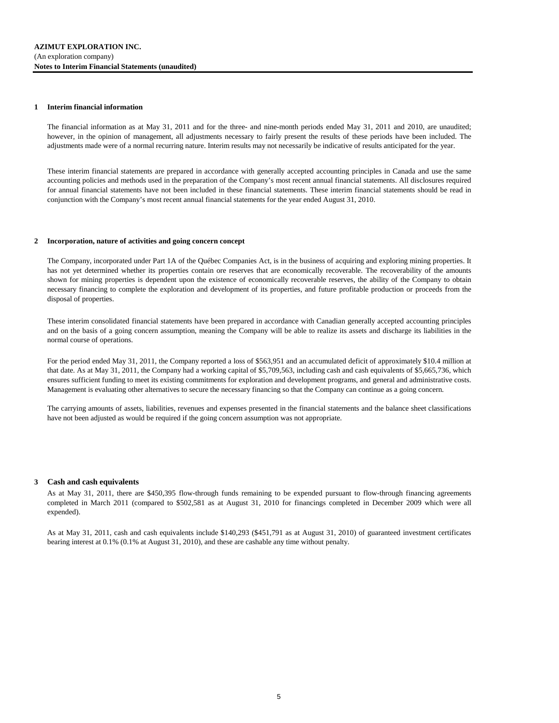### **1 Interim financial information**

The financial information as at May 31, 2011 and for the three- and nine-month periods ended May 31, 2011 and 2010, are unaudited; however, in the opinion of management, all adjustments necessary to fairly present the results of these periods have been included. The adjustments made were of a normal recurring nature. Interim results may not necessarily be indicative of results anticipated for the year.

These interim financial statements are prepared in accordance with generally accepted accounting principles in Canada and use the same accounting policies and methods used in the preparation of the Company's most recent annual financial statements. All disclosures required for annual financial statements have not been included in these financial statements. These interim financial statements should be read in conjunction with the Company's most recent annual financial statements for the year ended August 31, 2010.

#### **2 Incorporation, nature of activities and going concern concept**

The Company, incorporated under Part 1A of the Québec Companies Act, is in the business of acquiring and exploring mining properties. It has not yet determined whether its properties contain ore reserves that are economically recoverable. The recoverability of the amounts shown for mining properties is dependent upon the existence of economically recoverable reserves, the ability of the Company to obtain necessary financing to complete the exploration and development of its properties, and future profitable production or proceeds from the disposal of properties.

These interim consolidated financial statements have been prepared in accordance with Canadian generally accepted accounting principles and on the basis of a going concern assumption, meaning the Company will be able to realize its assets and discharge its liabilities in the normal course of operations.

For the period ended May 31, 2011, the Company reported a loss of \$563,951 and an accumulated deficit of approximately \$10.4 million at that date. As at May 31, 2011, the Company had a working capital of \$5,709,563, including cash and cash equivalents of \$5,665,736, which ensures sufficient funding to meet its existing commitments for exploration and development programs, and general and administrative costs. Management is evaluating other alternatives to secure the necessary financing so that the Company can continue as a going concern.

The carrying amounts of assets, liabilities, revenues and expenses presented in the financial statements and the balance sheet classifications have not been adjusted as would be required if the going concern assumption was not appropriate.

#### **3 Cash and cash equivalents**

As at May 31, 2011, there are \$450,395 flow-through funds remaining to be expended pursuant to flow-through financing agreements completed in March 2011 (compared to \$502,581 as at August 31, 2010 for financings completed in December 2009 which were all expended).

As at May 31, 2011, cash and cash equivalents include \$140,293 (\$451,791 as at August 31, 2010) of guaranteed investment certificates bearing interest at 0.1% (0.1% at August 31, 2010), and these are cashable any time without penalty.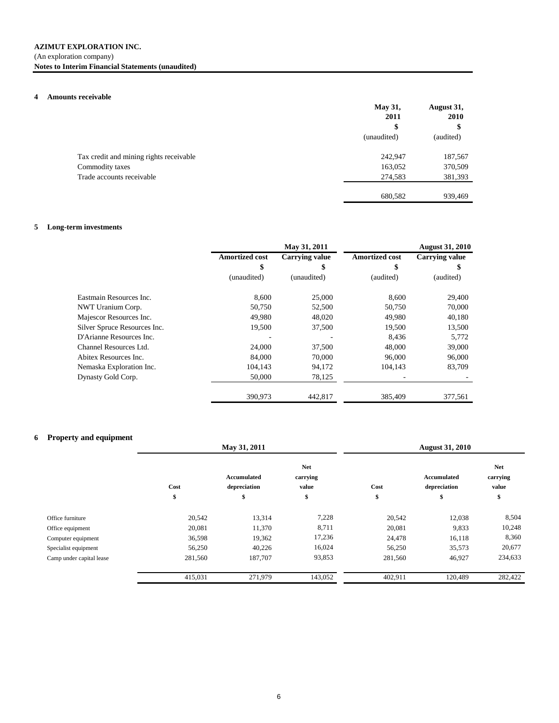## (An exploration company) **Notes to Interim Financial Statements (unaudited)**

## **4 Amounts receivable**

|                                         | <b>May 31,</b> | August 31, |
|-----------------------------------------|----------------|------------|
|                                         | 2011           | 2010       |
|                                         | \$             | \$         |
|                                         | (unaudited)    | (audited)  |
| Tax credit and mining rights receivable | 242,947        | 187,567    |
| Commodity taxes                         | 163,052        | 370,509    |
| Trade accounts receivable               | 274,583        | 381,393    |
|                                         | 680,582        | 939,469    |

# **5 Long-term investments**

|                              |                       | May 31, 2011          |                       | <b>August 31, 2010</b> |
|------------------------------|-----------------------|-----------------------|-----------------------|------------------------|
|                              | <b>Amortized cost</b> | <b>Carrying value</b> | <b>Amortized cost</b> | <b>Carrying value</b>  |
|                              | \$                    | \$                    | \$                    | S                      |
|                              | (unaudited)           | (unaudited)           | (audited)             | (audited)              |
| Eastmain Resources Inc.      | 8,600                 | 25,000                | 8,600                 | 29,400                 |
| NWT Uranium Corp.            | 50,750                | 52,500                | 50,750                | 70,000                 |
| Majescor Resources Inc.      | 49,980                | 48,020                | 49,980                | 40,180                 |
| Silver Spruce Resources Inc. | 19,500                | 37,500                | 19,500                | 13,500                 |
| D'Arianne Resources Inc.     |                       |                       | 8.436                 | 5,772                  |
| Channel Resources Ltd.       | 24,000                | 37,500                | 48,000                | 39,000                 |
| Abitex Resources Inc.        | 84,000                | 70,000                | 96,000                | 96,000                 |
| Nemaska Exploration Inc.     | 104,143               | 94,172                | 104.143               | 83,709                 |
| Dynasty Gold Corp.           | 50,000                | 78,125                |                       |                        |
|                              | 390,973               | 442,817               | 385.409               | 377,561                |

## **6 Property and equipment**

|                          | May 31, 2011 |                                    |                                 | <b>August 31, 2010</b> |                                    |                                 |  |
|--------------------------|--------------|------------------------------------|---------------------------------|------------------------|------------------------------------|---------------------------------|--|
|                          | Cost         | <b>Accumulated</b><br>depreciation | <b>Net</b><br>carrying<br>value | Cost                   | <b>Accumulated</b><br>depreciation | <b>Net</b><br>carrying<br>value |  |
|                          | \$           | \$                                 | \$                              | \$                     | \$                                 | \$                              |  |
| Office furniture         | 20,542       | 13,314                             | 7,228                           | 20,542                 | 12,038                             | 8,504                           |  |
| Office equipment         | 20,081       | 11,370                             | 8,711                           | 20,081                 | 9,833                              | 10,248                          |  |
| Computer equipment       | 36,598       | 19,362                             | 17,236                          | 24,478                 | 16,118                             | 8,360                           |  |
| Specialist equipment     | 56,250       | 40,226                             | 16,024                          | 56,250                 | 35,573                             | 20,677                          |  |
| Camp under capital lease | 281,560      | 187,707                            | 93,853                          | 281,560                | 46,927                             | 234,633                         |  |
|                          | 415,031      | 271,979                            | 143,052                         | 402,911                | 120,489                            | 282,422                         |  |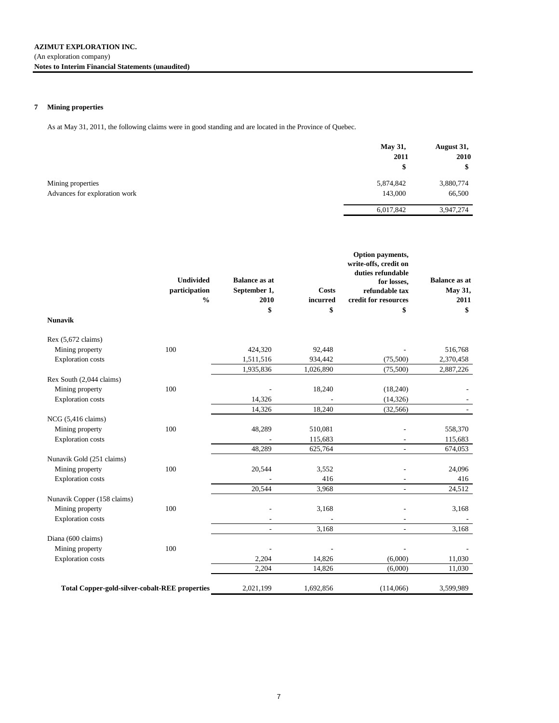## **7 Mining properties**

As at May 31, 2011, the following claims were in good standing and are located in the Province of Quebec.

|                               | May 31,<br>2011<br>\$ | August 31,<br>2010<br>\$ |
|-------------------------------|-----------------------|--------------------------|
| Mining properties             | 5,874,842             | 3,880,774                |
| Advances for exploration work | 143,000               | 66,500                   |
|                               | 6,017,842             | 3,947,274                |

|                                                       | <b>Undivided</b><br>participation<br>$\frac{0}{0}$ | <b>Balance as at</b><br>September 1,<br>2010<br>\$ | <b>Costs</b><br>incurred<br>\$ | Option payments,<br>write-offs, credit on<br>duties refundable<br>for losses,<br>refundable tax<br>credit for resources<br>\$ | <b>Balance as at</b><br>May 31,<br>2011<br>\$ |
|-------------------------------------------------------|----------------------------------------------------|----------------------------------------------------|--------------------------------|-------------------------------------------------------------------------------------------------------------------------------|-----------------------------------------------|
| <b>Nunavik</b>                                        |                                                    |                                                    |                                |                                                                                                                               |                                               |
| Rex (5,672 claims)                                    |                                                    |                                                    |                                |                                                                                                                               |                                               |
| Mining property                                       | 100                                                | 424,320                                            | 92,448                         |                                                                                                                               | 516,768                                       |
| <b>Exploration</b> costs                              |                                                    | 1,511,516                                          | 934,442                        | (75,500)                                                                                                                      | 2,370,458                                     |
|                                                       |                                                    | 1,935,836                                          | 1,026,890                      | (75,500)                                                                                                                      | 2,887,226                                     |
| Rex South (2,044 claims)                              |                                                    |                                                    |                                |                                                                                                                               |                                               |
| Mining property                                       | 100                                                |                                                    | 18,240                         | (18,240)                                                                                                                      |                                               |
| <b>Exploration</b> costs                              |                                                    | 14,326                                             |                                | (14, 326)                                                                                                                     |                                               |
|                                                       |                                                    | 14,326                                             | 18,240                         | (32, 566)                                                                                                                     |                                               |
| $NCG$ (5,416 claims)                                  |                                                    |                                                    |                                |                                                                                                                               |                                               |
| Mining property                                       | 100                                                | 48,289                                             | 510,081                        |                                                                                                                               | 558,370                                       |
| <b>Exploration</b> costs                              |                                                    |                                                    | 115,683                        |                                                                                                                               | 115,683                                       |
|                                                       |                                                    | 48,289                                             | 625,764                        | $\overline{\phantom{a}}$                                                                                                      | 674,053                                       |
| Nunavik Gold (251 claims)                             |                                                    |                                                    |                                |                                                                                                                               |                                               |
| Mining property                                       | 100                                                | 20,544                                             | 3,552                          |                                                                                                                               | 24,096                                        |
| <b>Exploration</b> costs                              |                                                    |                                                    | 416                            |                                                                                                                               | 416                                           |
|                                                       |                                                    | 20,544                                             | 3,968                          |                                                                                                                               | 24,512                                        |
| Nunavik Copper (158 claims)                           |                                                    |                                                    |                                |                                                                                                                               |                                               |
| Mining property                                       | 100                                                |                                                    | 3,168                          |                                                                                                                               | 3,168                                         |
| <b>Exploration</b> costs                              |                                                    |                                                    |                                |                                                                                                                               |                                               |
|                                                       |                                                    |                                                    | 3,168                          |                                                                                                                               | 3,168                                         |
| Diana (600 claims)                                    |                                                    |                                                    |                                |                                                                                                                               |                                               |
| Mining property                                       | 100                                                |                                                    |                                |                                                                                                                               |                                               |
| <b>Exploration</b> costs                              |                                                    | 2,204                                              | 14,826                         | (6,000)                                                                                                                       | 11,030                                        |
|                                                       |                                                    | 2,204                                              | 14,826                         | (6,000)                                                                                                                       | 11,030                                        |
| <b>Total Copper-gold-silver-cobalt-REE properties</b> |                                                    | 2,021,199                                          | 1,692,856                      | (114,066)                                                                                                                     | 3,599,989                                     |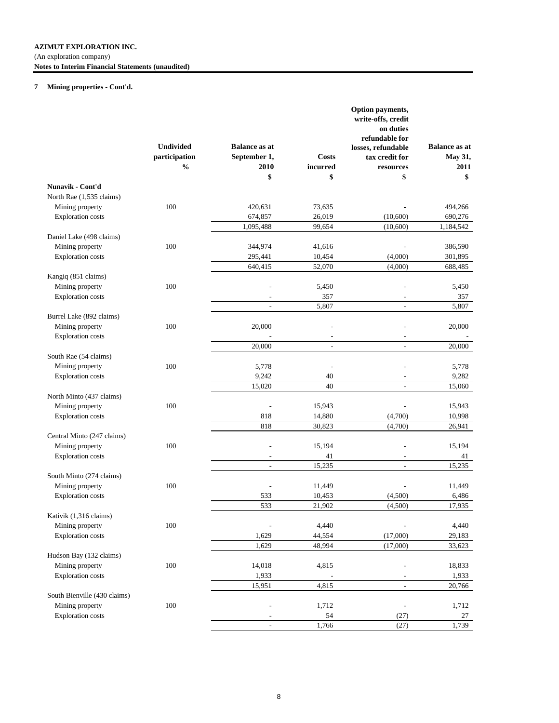### (An exploration company)

**Notes to Interim Financial Statements (unaudited)**

# **7 Mining properties - Cont'd.**

|                              |                  |                          |                          | Option payments,<br>write-offs, credit<br>on duties<br>refundable for |                      |
|------------------------------|------------------|--------------------------|--------------------------|-----------------------------------------------------------------------|----------------------|
|                              | <b>Undivided</b> | <b>Balance as at</b>     |                          | losses, refundable                                                    | <b>Balance as at</b> |
|                              | participation    | September 1,             | <b>Costs</b>             | tax credit for                                                        | May 31,              |
|                              | $\frac{0}{0}$    | 2010                     | incurred                 | resources                                                             | 2011                 |
|                              |                  | \$                       | \$                       | \$                                                                    | \$                   |
| Nunavik - Cont'd             |                  |                          |                          |                                                                       |                      |
| North Rae (1,535 claims)     |                  |                          |                          |                                                                       |                      |
| Mining property              | 100              | 420,631                  | 73,635                   |                                                                       | 494,266              |
| <b>Exploration</b> costs     |                  | 674,857                  | 26,019                   | (10,600)                                                              | 690,276              |
|                              |                  | 1,095,488                | 99,654                   | (10,600)                                                              | 1,184,542            |
| Daniel Lake (498 claims)     |                  |                          |                          |                                                                       |                      |
| Mining property              | 100              | 344,974                  | 41,616                   |                                                                       | 386,590              |
| <b>Exploration</b> costs     |                  | 295,441                  | 10,454                   | (4,000)                                                               | 301,895              |
|                              |                  | 640,415                  | 52,070                   | (4,000)                                                               | 688,485              |
| Kangiq (851 claims)          |                  |                          |                          |                                                                       |                      |
| Mining property              | 100              |                          | 5,450                    |                                                                       | 5,450                |
| <b>Exploration</b> costs     |                  |                          | 357                      |                                                                       | 357                  |
|                              |                  |                          | 5,807                    |                                                                       | 5,807                |
| Burrel Lake (892 claims)     |                  |                          |                          |                                                                       |                      |
| Mining property              | 100              | 20,000                   |                          |                                                                       | 20,000               |
| <b>Exploration</b> costs     |                  |                          | $\overline{\phantom{a}}$ |                                                                       |                      |
|                              |                  | 20,000                   | $\sim$                   | $\overline{\phantom{a}}$                                              | 20,000               |
| South Rae (54 claims)        |                  |                          |                          |                                                                       |                      |
| Mining property              | 100              | 5,778                    |                          |                                                                       | 5,778                |
| <b>Exploration</b> costs     |                  | 9,242                    | 40                       | L,                                                                    | 9,282                |
|                              |                  | 15,020                   | 40                       | $\overline{\phantom{a}}$                                              | 15,060               |
| North Minto (437 claims)     |                  |                          |                          |                                                                       |                      |
| Mining property              | 100              |                          | 15,943                   |                                                                       | 15,943               |
| <b>Exploration</b> costs     |                  | 818                      | 14,880                   | (4,700)                                                               | 10,998               |
|                              |                  | 818                      | 30,823                   | (4,700)                                                               | 26,941               |
| Central Minto (247 claims)   |                  |                          |                          |                                                                       |                      |
| Mining property              | 100              |                          | 15,194                   |                                                                       | 15,194               |
| <b>Exploration</b> costs     |                  | $\overline{a}$           | 41                       |                                                                       | 41                   |
|                              |                  | $\overline{\phantom{a}}$ | 15,235                   | $\overline{a}$                                                        | 15,235               |
| South Minto (274 claims)     |                  |                          |                          |                                                                       |                      |
| Mining property              | 100              | Ĭ.                       | 11,449                   | L,                                                                    | 11,449               |
| <b>Exploration</b> costs     |                  | 533                      | 10,453                   | (4,500)                                                               | 6,486                |
|                              |                  | 533                      | 21,902                   | (4,500)                                                               | 17,935               |
| Kativik (1,316 claims)       |                  |                          |                          |                                                                       |                      |
| Mining property              | $100\,$          |                          | 4,440                    |                                                                       | 4,440                |
| <b>Exploration</b> costs     |                  | 1,629                    | 44,554                   | (17,000)                                                              | 29,183               |
|                              |                  | 1,629                    | 48,994                   | (17,000)                                                              | 33,623               |
| Hudson Bay (132 claims)      |                  |                          |                          |                                                                       |                      |
| Mining property              | $100\,$          | 14,018                   | 4,815                    |                                                                       | 18,833               |
| <b>Exploration</b> costs     |                  | 1,933                    |                          |                                                                       | 1,933                |
|                              |                  | 15,951                   | 4,815                    |                                                                       | 20,766               |
| South Bienville (430 claims) |                  |                          |                          |                                                                       |                      |
| Mining property              | 100              | Ĭ.                       | 1,712                    |                                                                       | 1,712                |
| <b>Exploration</b> costs     |                  |                          | 54                       |                                                                       |                      |
|                              |                  |                          |                          | (27)                                                                  | 27                   |
|                              |                  | $\overline{a}$           | 1,766                    | (27)                                                                  | 1,739                |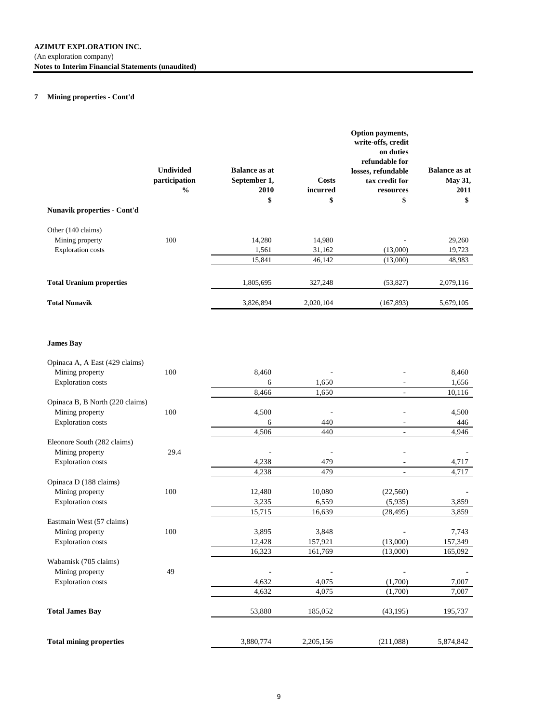## **7 Mining properties - Cont'd**

| <b>Nunavik properties - Cont'd</b> | <b>Undivided</b><br>participation<br>$\frac{0}{0}$ | <b>Balance as at</b><br>September 1,<br>2010<br>\$ | Costs<br>incurred<br>\$ | Option payments,<br>write-offs, credit<br>on duties<br>refundable for<br>losses, refundable<br>tax credit for<br>resources<br>\$ | <b>Balance as at</b><br><b>May 31,</b><br>2011<br>\$ |
|------------------------------------|----------------------------------------------------|----------------------------------------------------|-------------------------|----------------------------------------------------------------------------------------------------------------------------------|------------------------------------------------------|
| Other (140 claims)                 |                                                    |                                                    |                         |                                                                                                                                  |                                                      |
| Mining property                    | 100                                                | 14,280                                             | 14,980                  |                                                                                                                                  | 29,260                                               |
| <b>Exploration</b> costs           |                                                    | 1,561                                              | 31,162                  | (13,000)                                                                                                                         | 19,723                                               |
|                                    |                                                    | 15,841                                             | 46,142                  | (13,000)                                                                                                                         | 48,983                                               |
| <b>Total Uranium properties</b>    |                                                    | 1,805,695                                          | 327,248                 | (53, 827)                                                                                                                        | 2,079,116                                            |
| <b>Total Nunavik</b>               |                                                    | 3,826,894                                          | 2,020,104               | (167, 893)                                                                                                                       | 5,679,105                                            |

## **James Bay**

| Opinaca A, A East (429 claims)  |      |           |           |           |           |
|---------------------------------|------|-----------|-----------|-----------|-----------|
| Mining property                 | 100  | 8,460     |           |           | 8,460     |
| <b>Exploration</b> costs        |      | 6         | 1,650     |           | 1,656     |
|                                 |      | 8,466     | 1,650     |           | 10,116    |
| Opinaca B, B North (220 claims) |      |           |           |           |           |
| Mining property                 | 100  | 4,500     |           |           | 4,500     |
| <b>Exploration costs</b>        |      | 6         | 440       |           | 446       |
|                                 |      | 4,506     | 440       | ÷.        | 4,946     |
| Eleonore South (282 claims)     |      |           |           |           |           |
| Mining property                 | 29.4 |           |           |           |           |
| <b>Exploration</b> costs        |      | 4,238     | 479       |           | 4,717     |
|                                 |      | 4,238     | 479       |           | 4,717     |
| Opinaca D (188 claims)          |      |           |           |           |           |
| Mining property                 | 100  | 12,480    | 10,080    | (22, 560) |           |
| <b>Exploration</b> costs        |      | 3,235     | 6,559     | (5,935)   | 3,859     |
|                                 |      | 15,715    | 16,639    | (28, 495) | 3,859     |
| Eastmain West (57 claims)       |      |           |           |           |           |
| Mining property                 | 100  | 3,895     | 3,848     |           | 7,743     |
| <b>Exploration costs</b>        |      | 12,428    | 157,921   | (13,000)  | 157,349   |
|                                 |      | 16,323    | 161,769   | (13,000)  | 165,092   |
| Wabamisk (705 claims)           |      |           |           |           |           |
| Mining property                 | 49   |           |           |           |           |
| <b>Exploration costs</b>        |      | 4,632     | 4,075     | (1,700)   | 7,007     |
|                                 |      | 4,632     | 4,075     | (1,700)   | 7,007     |
| <b>Total James Bay</b>          |      | 53,880    | 185,052   | (43, 195) | 195,737   |
|                                 |      |           |           |           |           |
| <b>Total mining properties</b>  |      | 3,880,774 | 2,205,156 | (211,088) | 5,874,842 |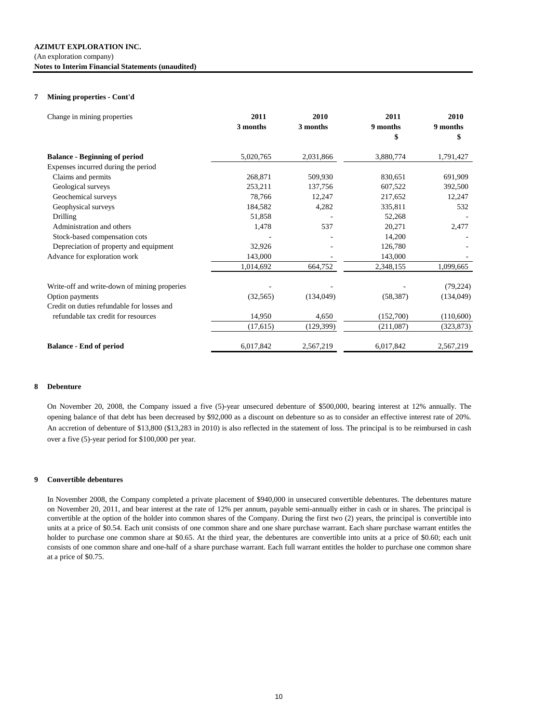#### (An exploration company)

**Notes to Interim Financial Statements (unaudited)**

### **7 Mining properties - Cont'd**

| Change in mining properties                  | 2011<br>3 months | 2010<br>3 months | 2011<br>9 months<br>\$ | 2010<br>9 months<br>\$ |
|----------------------------------------------|------------------|------------------|------------------------|------------------------|
| <b>Balance - Beginning of period</b>         | 5,020,765        | 2,031,866        | 3,880,774              | 1,791,427              |
| Expenses incurred during the period          |                  |                  |                        |                        |
| Claims and permits                           | 268,871          | 509,930          | 830,651                | 691,909                |
| Geological surveys                           | 253,211          | 137,756          | 607,522                | 392,500                |
| Geochemical surveys                          | 78,766           | 12,247           | 217,652                | 12,247                 |
| Geophysical surveys                          | 184,582          | 4,282            | 335,811                | 532                    |
| Drilling                                     | 51,858           |                  | 52,268                 |                        |
| Administration and others                    | 1,478            | 537              | 20,271                 | 2,477                  |
| Stock-based compensation cots                |                  |                  | 14,200                 |                        |
| Depreciation of property and equipment       | 32,926           |                  | 126,780                |                        |
| Advance for exploration work                 | 143,000          |                  | 143,000                |                        |
|                                              | 1,014,692        | 664,752          | 2,348,155              | 1,099,665              |
| Write-off and write-down of mining properies |                  |                  |                        | (79, 224)              |
| Option payments                              | (32, 565)        | (134,049)        | (58, 387)              | (134,049)              |
| Credit on duties refundable for losses and   |                  |                  |                        |                        |
| refundable tax credit for resources          | 14,950           | 4,650            | (152,700)              | (110,600)              |
|                                              | (17,615)         | (129, 399)       | (211,087)              | (323, 873)             |
| <b>Balance - End of period</b>               | 6,017,842        | 2,567,219        | 6,017,842              | 2,567,219              |

## **8 Debenture**

On November 20, 2008, the Company issued a five (5)-year unsecured debenture of \$500,000, bearing interest at 12% annually. The opening balance of that debt has been decreased by \$92,000 as a discount on debenture so as to consider an effective interest rate of 20%. An accretion of debenture of \$13,800 (\$13,283 in 2010) is also reflected in the statement of loss. The principal is to be reimbursed in cash over a five (5)-year period for \$100,000 per year.

### **9 Convertible debentures**

In November 2008, the Company completed a private placement of \$940,000 in unsecured convertible debentures. The debentures mature on November 20, 2011, and bear interest at the rate of 12% per annum, payable semi-annually either in cash or in shares. The principal is convertible at the option of the holder into common shares of the Company. During the first two (2) years, the principal is convertible into units at a price of \$0.54. Each unit consists of one common share and one share purchase warrant. Each share purchase warrant entitles the holder to purchase one common share at \$0.65. At the third year, the debentures are convertible into units at a price of \$0.60; each unit consists of one common share and one-half of a share purchase warrant. Each full warrant entitles the holder to purchase one common share at a price of \$0.75.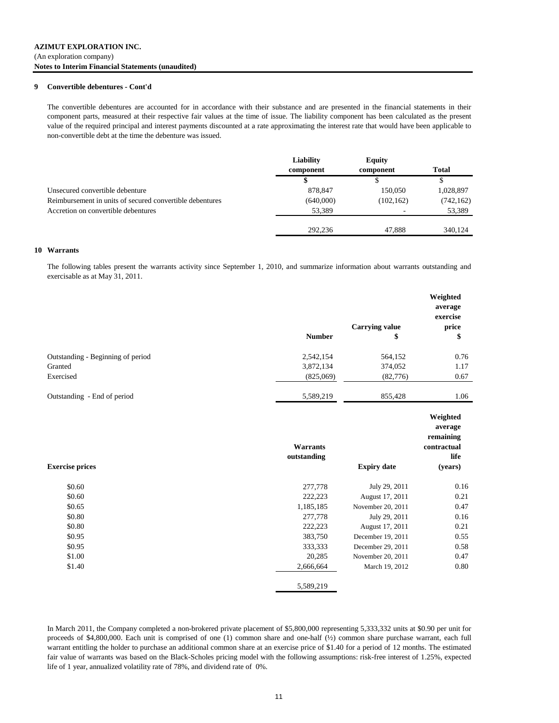### **9 Convertible debentures - Cont'd**

The convertible debentures are accounted for in accordance with their substance and are presented in the financial statements in their component parts, measured at their respective fair values at the time of issue. The liability component has been calculated as the present value of the required principal and interest payments discounted at a rate approximating the interest rate that would have been applicable to non-convertible debt at the time the debenture was issued.

|                                                          | Liability<br>component | <b>Equity</b><br>component | Total      |
|----------------------------------------------------------|------------------------|----------------------------|------------|
|                                                          |                        |                            | D          |
| Unsecured convertible debenture                          | 878,847                | 150,050                    | 1,028,897  |
| Reimbursement in units of secured convertible debentures | (640,000)              | (102, 162)                 | (742, 162) |
| Accretion on convertible debentures                      | 53,389                 |                            | 53,389     |
|                                                          | 292,236                | 47.888                     | 340,124    |

#### **10 Warrants**

The following tables present the warrants activity since September 1, 2010, and summarize information about warrants outstanding and exercisable as at May 31, 2011.

|                                   |               | <b>Carrying value</b> | Weighted<br>average<br>exercise<br>price        |
|-----------------------------------|---------------|-----------------------|-------------------------------------------------|
|                                   | <b>Number</b> | \$                    | \$                                              |
| Outstanding - Beginning of period | 2,542,154     | 564,152               | 0.76                                            |
| Granted                           | 3,872,134     | 374,052               | 1.17                                            |
| Exercised                         | (825,069)     | (82,776)              | 0.67                                            |
| Outstanding - End of period       | 5,589,219     | 855,428               | 1.06                                            |
|                                   | Warrants      |                       | Weighted<br>average<br>remaining<br>contractual |
|                                   | outstanding   |                       | life                                            |
| <b>Exercise prices</b>            |               | <b>Expiry date</b>    | (years)                                         |
| \$0.60                            | 277,778       | July 29, 2011         | 0.16                                            |
| \$0.60                            | 222,223       | August 17, 2011       | 0.21                                            |
| \$0.65                            | 1,185,185     | November 20, 2011     | 0.47                                            |
| \$0.80                            | 277,778       | July 29, 2011         | 0.16                                            |
| \$0.80                            | 222,223       | August 17, 2011       | 0.21                                            |
| \$0.95                            | 383,750       | December 19, 2011     | 0.55                                            |
| \$0.95                            | 333,333       | December 29, 2011     | 0.58                                            |
| \$1.00                            | 20,285        | November 20, 2011     | 0.47                                            |
| \$1.40                            | 2,666,664     | March 19, 2012        | 0.80                                            |
|                                   | 5,589,219     |                       |                                                 |

In March 2011, the Company completed a non-brokered private placement of \$5,800,000 representing 5,333,332 units at \$0.90 per unit for proceeds of \$4,800,000. Each unit is comprised of one (1) common share and one-half (½) common share purchase warrant, each full warrant entitling the holder to purchase an additional common share at an exercise price of \$1.40 for a period of 12 months. The estimated fair value of warrants was based on the Black-Scholes pricing model with the following assumptions: risk-free interest of 1.25%, expected life of 1 year, annualized volatility rate of 78%, and dividend rate of 0%.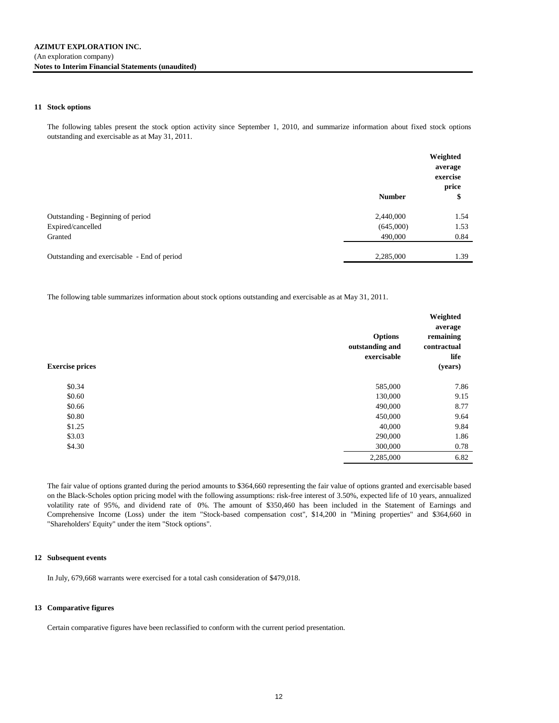### **11 Stock options**

The following tables present the stock option activity since September 1, 2010, and summarize information about fixed stock options outstanding and exercisable as at May 31, 2011.

|                                             | <b>Number</b> | Weighted<br>average<br>exercise<br>price<br>\$ |
|---------------------------------------------|---------------|------------------------------------------------|
| Outstanding - Beginning of period           | 2,440,000     | 1.54                                           |
| Expired/cancelled                           | (645,000)     | 1.53                                           |
| Granted                                     | 490,000       | 0.84                                           |
| Outstanding and exercisable - End of period | 2,285,000     | 1.39                                           |

The following table summarizes information about stock options outstanding and exercisable as at May 31, 2011.

| <b>Exercise prices</b> | <b>Options</b><br>outstanding and<br>exercisable | Weighted<br>average<br>remaining<br>contractual<br>life<br>(years) |
|------------------------|--------------------------------------------------|--------------------------------------------------------------------|
| \$0.34                 | 585,000                                          | 7.86                                                               |
| \$0.60                 | 130,000                                          | 9.15                                                               |
| \$0.66                 | 490,000                                          | 8.77                                                               |
| \$0.80                 | 450,000                                          | 9.64                                                               |
| \$1.25                 | 40,000                                           | 9.84                                                               |
| \$3.03                 | 290,000                                          | 1.86                                                               |
| \$4.30                 | 300,000                                          | 0.78                                                               |
|                        | 2,285,000                                        | 6.82                                                               |

The fair value of options granted during the period amounts to \$364,660 representing the fair value of options granted and exercisable based on the Black-Scholes option pricing model with the following assumptions: risk-free interest of 3.50%, expected life of 10 years, annualized volatility rate of 95%, and dividend rate of 0%. The amount of \$350,460 has been included in the Statement of Earnings and Comprehensive Income (Loss) under the item "Stock-based compensation cost", \$14,200 in "Mining properties" and \$364,660 in "Shareholders' Equity" under the item "Stock options".

### **12 Subsequent events**

In July, 679,668 warrants were exercised for a total cash consideration of \$479,018.

## **13 Comparative figures**

Certain comparative figures have been reclassified to conform with the current period presentation.